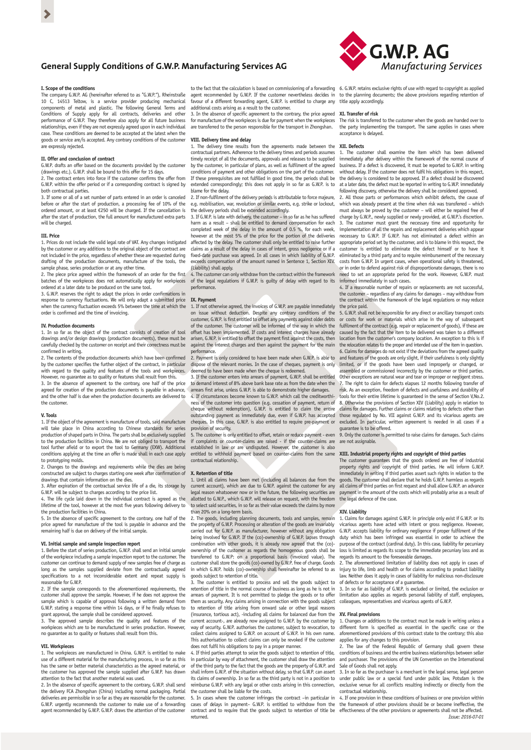# **General Supply Conditions of G.W.P. Manufacturing Services AG**

## **I. Scope of the conditions**

The company G.W.P. AG (hereinafter referred to as "G.W.P."), Rheinstraße 10 C, 14513 Teltow, is a service provider producing mechanical components of metal and plastic. The following General Terms and Conditions of Supply apply for all contracts, deliveries and other performance of G.W.P. They therefore also apply for all future business relationships, even if they are not expressly agreed upon in each individual case. These conditions are deemed to be accepted at the latest when the goods or service are/is accepted. Any contrary conditions of the customer are expressly rejected.

## **II. Offer and conclusion of contract**

G.W.P. drafts an offer based on the documents provided by the customer (drawings etc.). G.W.P. shall be bound to this offer for 15 days. 2. The contract enters into force if the customer confirms the offer from

G.W.P. within the offer period or if a corresponding contract is signed by both contractual parties. 3. If some or all of a set number of parts entered in an order is canceled

before or after the start of production, a processing fee of 10% of the ordered amount, or at least  $\epsilon$ 250 will be charged. If the cancellation is after the start of production, the full amount for manufactured extra parts will be charged.

### **III. Price**

1. Prices do not include the valid legal rate of VAT. Any changes instigated by the customer or any additions to the original object of the contract are not included in the price, regardless of whether these are requested during drafting of the production documents, manufacture of the tools, the sample phase, series production or at any other time.

2. The piece price agreed within the framework of an order for the first batches of the workpieces does not automatically apply for workpieces ordered at a later date to be produced on the same tool.

3. G.W.P. reserves the right to adapt the prices in order confirmations in response to currency fluctuations. We will only adapt a submitted price when the currency fluctuation exceeds 5% between the time at which the order is confirmed and the time of invoicing.

### **IV. Production documents**

1. In so far as the object of the contract consists of creation of tool drawings and/or design drawings (production documents), these must be carefully checked by the customer on receipt and their correctness must be confirmed in writing.

2. The contents of the production documents which have been confirmed by the customer specifies the further object of the contract, in particular with regard to the quality and features of the tools and workpieces. However, no quarantee as to quality or features shall result from this.

3. In the absence of agreement to the contrary, one half of the price agreed for creation of the production documents is payable in advance, and the other half is due when the production documents are delivered to the customer.

### **V. Tools**

1. If the object of the agreement is manufacture of tools, said manufacture will take place in China according to Chinese standards for series production of shaped parts in China. The parts shall be exclusively supplied to the production facilities in China. We are not obliged to transport the tool further afield or to export the tool to Germany (EXW). Additional conditions applying at the time an offer is made shall in each case apply to prototyping molds.

2. Changes to the drawings and requirements while the dies are being constructed are subject to charges starting one week after confirmation of drawings that contain information on the dies.

3. After expiration of the contractual service life of a die, its storage by G.W.P. will be subject to charges according to the price list.

4. The life cycle laid down in the individual contract is agreed as the lifetime of the tool, however at the most five years following delivery to the production facilities in China.

5. In the absence of specific agreement to the contrary, one half of the price agreed for manufacture of the tool is payable in advance and the remaining half is due on delivery of the initial sample.

### **VI. Initial sample and sample inspection report**

1. Before the start of series production, G.W.P. shall send an initial sample of the workpiece including a sample inspection report to the customer. The customer can continue to demand supply of new samples free of charge as long as the samples supplied deviate from the contractually agreed specifications to a not inconsiderable extent and repeat supply is reasonable for G.W.P.

2. If the sample corresponds to the aforementioned requirements, the customer shall approve the sample. However, if he does not approve the sample which is capable of approval following a written demand from G.W.P. stating a response time within 14 days, or if he finally refuses to

grant approval, the sample shall be considered approved. 3. The approved sample describes the quality and features of the st the approved sample assembles are quality and reductes of the workpieces which are to be manufactured in series production. However, no guarantee as to quality or features shall result from this.

## **VII. Workpieces**

1. The workpieces are manufactured in China. G.W.P. is entitled to make use of a different material for the manufacturing process, in so far as this has the same or better material characteristics as the agreed material, or the customer has approved the sample supplied after G.W.P. has drawn attention to the fact that another material was used.

2. In the absence of specific agreement to the contrary, G.W.P. shall send the delivery FCA Zhongshan (China) including normal packaging. Partial deliveries are permissible in so far as they are reasonable for the customer. G.W.P. urgently recommends the customer to make use of a forwarding agent recommended by G.W.P. G.W.P. draws the attention of the customer

to the fact that the calculation is based on commissioning of a forwarding 6. G.W.P. retains exclusive rights of use with regard to copyright as applied agent recommended by G.W.P. If the customer nevertheless decides in favour of a different forwarding agent, G.W.P. is entitled to charge any additional costs arising as a result to the customer. title apply accordingly.

3. In the absence of specific agreement to the contrary, the price agreed for manufacture of the workpieces is due for payment when the workpieces **XI. Transfer of risk** are transferred to the person responsible for the transport in Zhongshan.

## **VIII. Delivery time and delay**

1. The delivery time results from the agreements made between the contractual partners. Adherence to the delivery times and periods assumes **XII. Defects** timely receipt of all the documents, approvals and releases to be supplied by the customer, in particular of plans, as well as fulfilment of the agreed conditions of payment and other obligations on the part of the customer. If these prerequisites are not fulfilled in good time, the periods shall be extended correspondingly; this does not apply in so far as G.W.P. is to blame for the delay.

2. If non-fulfilment of the delivery periods is attributable to force maje e.g. mobilisation, war, revolution or similar events, e.g. strike or lockout, the delivery periods shall be extended accordingly.

3. If G.W.P. is late with delivery, the customer – in so far as he has suffered harm as a result – shall be entitled to demand compensation for each completed week of the delay in the amount of 0.5 %, for each week, however at the most 5% of the price for the portion of the deliveries affected by the delay. The customer shall only be entitled to raise further claims as a result of the delay in cases of intent, gross negligence or if a fixed-date purchase was agreed. In all cases in which liability of G.W.P. exceeds compensation of the amount named in Sentence 1, Section XIV. (Liability) shall apply.

4. The customer can only withdraw from the contract within the framework of the legal regulations if G.W.P. is guilty of delay with regard to its performance.

### **IX. Payment**

1. If not otherwise agreed, the invoices of G.W.P. are payable immediately on issue without deduction. Despite any contrary conditions of the customer, G.W.P. is first entitled to offset any payments against older debts of the customer. The customer will be informed of the way in which the offset has been implemented. If costs and interest charges have already arisen, G.W.P. is entitled to offset the payment first against the costs, then against the interest charges and then against the payment for the main performance.

2. Payment is only considered to have been made when G.W.P. is able to dispose of the relevant monies. In the case of cheques, payment is only deemed to have been made when the cheque is redeemed.

3. If the customer enters into arrears of payment, G.W.P. shall be entitled to demand interest of 8% above bank base rate as from the date when the arrears first arise, unless G.W.P. is able to demonstrate higher damages. 4. If circumstances become known to G.W.P. which call the creditworthiness of the customer into question (e.g. cessation of payment, return of cheque without redemption), G.W.P. is entitled to claim the entire outstanding payment as immediately due, even if G.W.P. has accepted cheques. In this case, G.W.P. is also entitled to require pre-payment or provision of security.

The customer is only entitled to offset, retain or reduce payment - even if complaints or counter-claims are raised - if the counter-claims are established in law or are undisputed. However, the customer is also entitled to withhold payment based on counter-claims from the same contractual relationship.

## **X. Retention of title**

1. Until all claims have been met (including all balances due from the current account), which are due to G.W.P. against the customer for any legal reason whatsoever now or in the future, the following securities are allotted to G.W.P., which G.W.P. will release on request, with the freedom to select said securities, in so far as their value exceeds the claims by more than 20% on a long-term basis.

2. The goods, including planning documents, tools and samples, remain the property of G.W.P. Processing or alteration of the goods are invariably carried out for G.W.P. as manufacturer, however without any obligation being involved for G.W.P. If the (co)-ownership of G.W.P. lapses through combination with other goods, it is already now agreed that the (co) ownership of the customer as regards the homogenous goods shall be transferred to G.W.P: on a proportional basis (invoiced value). The customer shall store the goods (co)-owned by G.W.P. free of charge. Goods in which G.W.P. holds (co)-ownership shall hereinafter be referred to as goods subject to retention of title.

3. The customer is entitled to process and sell the goods subject to retention of title in the normal course of business as long as he is not in arrears of payment. It is not permitted to pledge the goods or to offer them as security. Any claims arising in connection with the goods subject to retention of title arising from onward sale or other legal reasons  $u$ rance, tortious act), -including all claims for balanced due from the current account-, are already now assigned to G.W.P. by the customer by way of security. G.W.P. authorises the customer, subject to revocation, to collect claims assigned to G.W.P. on account of G.W.P. in his own name. This authorisation to collect claims can only be revoked if the cus does not fulfil his obligations to pay in a proper manner. 4. If third parties attempt to seize the goods subject to retention of title,

in particular by way of attachment, the customer shall draw the attention of the third party to the fact that the goods are the property of G.W.P. and shall inform G.W.P. of the situation without delay, so that G.W.P. can assert its claims of ownership. In so far as the third party is not in a position to reimburse G.W.P. with any legal or other costs arising in this connection, the customer shall be liable for the costs.

5. In cases where the customer infringes the contract –in particular in cases of delays in payment– G.W.P. is entitled to withdraw from the contract and to require that the goods subject to retention of title be returned.



to the planning documents; the above provisions regarding retention of

The risk is transferred to the customer when the goods are handed over to the party implementing the transport. The same applies in cases where acceptance is delayed.

1. The customer shall examine the item which has been delivered immediately after delivery within the framework of the normal course of business. If a defect is discovered, it must be reported to G.W.P. in writing without delay. If the customer does not fulfil his obligations in this respect, the delivery is considered to be approved. If a defect should be discovered at a later date, the defect must be reported in writing to G.W.P. immediately

following discovery, otherwise the delivery shall be considered approved. 2. All those parts or performances which exhibit defects, the cause of which was already present at the time when risk was transferred – which must always be proved by the customer – will either be repaired free of charge by G.W.P., newly supplied or newly provided, at G.W.P.'s discretion. 3. The customer must grant the necessary time and opportunity for implementation of all the repairs and replacement deliveries which appear necessary to G.W.P. If G.W.P. has not eliminated a defect within an appropriate period set by the customer, and is to blame in this respect, the customer is entitled to eliminate the defect himself or to have it eliminated by a third party and to require reimbursement of the necessary costs from G.W.P. In urgent cases, when operational safety is threatened, or in order to defend against risk of disproportionate damages, there is no ed to set an appropriate period for the work. However, G.W.P. must informed immediately in such cases.

4. If a reasonable number of repairs or replacements are not successful, the customer – regardless of any claims for damages – may withdraw from the contract within the framework of the legal regulations or may reduce

the price paid. 5. G.W.P. shall not be responsible for any direct or ancillary transport costs costs for work or materials which arise in the way of subsequent fulfilment of the contract (e.g. repair or replacement of goods), if these are caused by the fact that the item to be delivered was taken to a different location from the customer's company location. An exception to this is if the relocation relates to the proper and intended use of the item in question. 6. Claims for damages do not exist if the deviations from the agreed quality and features of the goods are only slight, if their usefulness is only slightly limited, or if the goods have been used improperly or changed, or assembled or commissioned incorrectly by the customer or third parties. Other exceptions are natural wear and tear or improper or negligent stress. 7. The right to claim for defects elapses 12 months following transfer of risk. As an exception, freedom of defects and usefulness and durability of tools for their entire lifetime is guaranteed in the sense of Section V,No.2. 8. Otherwise the provisions of Section XIV (Liability) apply in relation to claims for damages. Further claims or claims relating to defects other than those regulated by No. VII against G.W.P. and its vicarious agents are excluded. In particular, written agreement is needed in all cases if a guarantee is to be offered.

9. Only the customer is permitted to raise claims for damages. Such claims are not assignable.

# **XIII. Industrial property rights and copyright of third parties** The customer guarantees that the goods ordered are free of industrial

property rights and copyright of third parties. He will inform G.W.P. immediately in writing if third parties assert such rights in relation to the goods. The customer shall declare that he holds G.W.P. harmless as regards all claims of third parties on first request and shall allow G.W.P. an advance payment in the amount of the costs which will probably arise as a result of the legal defence of the case.

## **XIV. Liability**

1. Claims for damages against G.W.P. in principle only exist if G.W.P. or its carious agents have acted with intent or gross negligence. However, G.W.P. accepts liability for ordinary negligence if proper fulfilment of the duty which has been infringed was essential in order to achieve the purpose of the contract (cardinal duty). In this case, liability for pecuniary loss is limited as regards its scope to the immediate pecuniary loss and as regards its amount to the foreseeable damages.

2. The aforementioned limitation of liability does not apply in cases of injury to life, limb and health or for claims according to product liability law. Neither does it apply in cases of liability for malicious non-disclosure

of defects or for acceptance of a guarantee. 3. In so far as liability of G.W.P. is excluded or limited, the exclusion or limitation also applies as regards personal liability of staff, employees, colleagues, representatives and vicarious agents of G.W.P.

## **XV. Final provisions**

1. Changes or additions to the contract must be made in writing unless a different form is specified as essential in the specific case or the aforementioned provisions of this contract state to the contrary; this also applies for any changes to this provision.

2. The law of the Federal Republic of Germany shall govern these conditions of business and the entire business relationships between seller and purchaser. The provisions of the UN Convention on the International Sale of Goods shall not apply.

3. In so far as the purchaser is a merchant in the legal sense, legal person under public law or a special fund under public law, Potsdam is the exclusive venue for all conflicts resulting indirectly or directly from the contractual relationship.

4. If one provision in these conditions of business or one provision within the framework of other provisions should be or become ineffective, the effectiveness of the other provisions or agreements shall not be affected. *Issue: 2016-07-01*